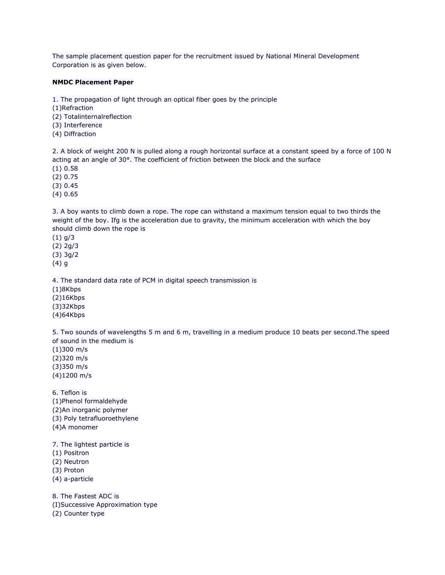The sample placement question paper for the recruitment issued by National Mineral Development Corporation is as given below.

## **NMDC Placement Paper**

1. The propagation of light through an optical fiber goes by the principle

(1)Refraction

(2) Totalinternalreflection

(3) Interference

(4) Diffraction

2. A block of weight 200 N is pulled along a rough horizontal surface at a constant speed by a force of 100 N acting at an angle of 30°. The coefficient of friction between the block and the surface

(1) 0.58

(2) 0.75

(3) 0.45

(4) 0.65

3. A boy wants to climb down a rope. The rope can withstand a maximum tension equal to two thirds the weight of the boy. Ifg is the acceleration due to gravity, the minimum acceleration with which the boy should climb down the rope is

(1) g/3 (2) 2g/3 (3) 3g/2

(4) g

4. The standard data rate of PCM in digital speech transmission is

(1)8Kbps

(2)16Kbps

(3)32Kbps

(4)64Kbps

5. Two sounds of wavelengths 5 m and 6 m, travelling in a medium produce 10 beats per second.The speed of sound in the medium is

(1)300 m/s (2)320 m/s (3)350 m/s (4)1200 m/s

6. Teflon is (1)Phenol formaldehyde (2)An inorganic polymer (3) Poly tetrafluoroethylene (4)A monomer

7. The lightest particle is

(1) Positron

(2) Neutron

(3) Proton

(4) a-particle

8. The Fastest ADC is (I)Successive Approximation type (2) Counter type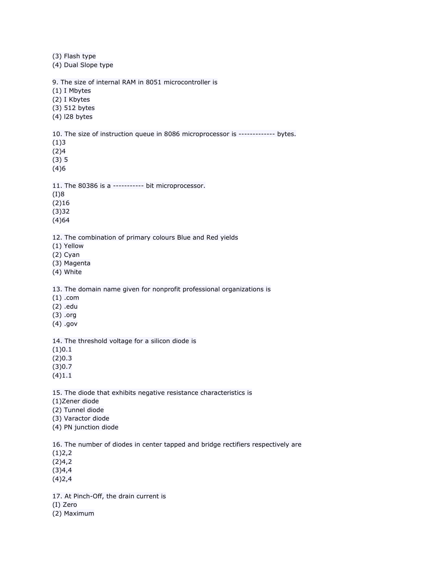(3) Flash type (4) Dual Slope type 9. The size of internal RAM in 8051 microcontroller is (1) I Mbytes (2) I Kbytes (3) 512 bytes (4) l28 bytes 10. The size of instruction queue in 8086 microprocessor is ------------- bytes. (1)3 (2)4 (3) 5 (4)6 11. The 80386 is a ----------- bit microprocessor. (I)8 (2)16 (3)32 (4)64 12. The combination of primary colours Blue and Red yields (1) Yellow (2) Cyan (3) Magenta (4) White 13. The domain name given for nonprofit professional organizations is (1) .com (2) .edu (3) .org (4) .gov 14. The threshold voltage for a silicon diode is (1)0.1 (2)0.3 (3)0.7 (4)1.1 15. The diode that exhibits negative resistance characteristics is (1)Zener diode (2) Tunnel diode (3) Varactor diode (4) PN junction diode 16. The number of diodes in center tapped and bridge rectifiers respectively are  $(1)$ 2,2  $(2)4,2$ (3)4,4 (4)2,4 17. At Pinch-Off, the drain current is (I) Zero (2) Maximum